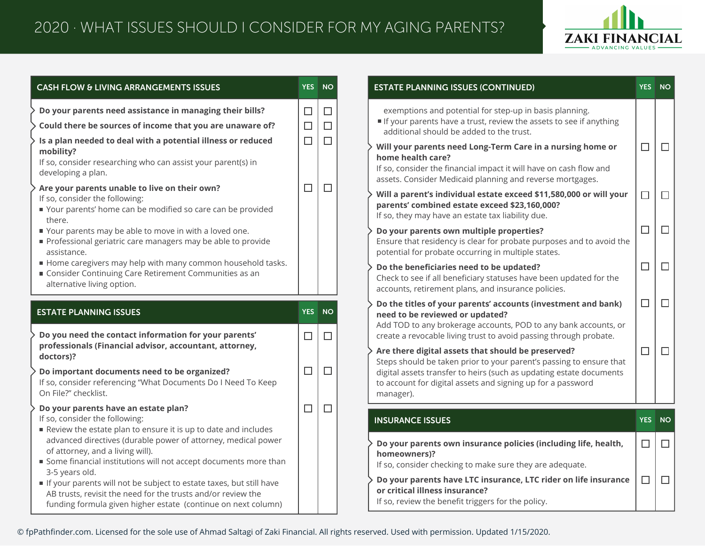

| <b>CASH FLOW &amp; LIVING ARRANGEMENTS ISSUES</b>                                                                                                                                                                                                                                                                                                                                                                                                                                                                                                                                                                                                                                                                                               | <b>YES</b> | <b>NO</b>                            | <b>ESTATE PLANNIN</b>                                                                                                                                                                                                                                                                                          |
|-------------------------------------------------------------------------------------------------------------------------------------------------------------------------------------------------------------------------------------------------------------------------------------------------------------------------------------------------------------------------------------------------------------------------------------------------------------------------------------------------------------------------------------------------------------------------------------------------------------------------------------------------------------------------------------------------------------------------------------------------|------------|--------------------------------------|----------------------------------------------------------------------------------------------------------------------------------------------------------------------------------------------------------------------------------------------------------------------------------------------------------------|
| Do your parents need assistance in managing their bills?<br>Could there be sources of income that you are unaware of?<br>Is a plan needed to deal with a potential illness or reduced<br>mobility?<br>If so, consider researching who can assist your parent(s) in<br>developing a plan.<br>Are your parents unable to live on their own?<br>If so, consider the following:<br>Your parents' home can be modified so care can be provided<br>there.<br>Your parents may be able to move in with a loved one.<br>Professional geriatric care managers may be able to provide<br>assistance.<br>Home caregivers may help with many common household tasks.<br>Consider Continuing Care Retirement Communities as an<br>alternative living option. |            | $\Box$<br>$\Box$<br>$\Box$<br>$\Box$ | exemptions and<br>If your parents<br>additional shou<br>Will your parent<br>home health car<br>If so, consider the<br>assets. Consider<br>Will a parent's in<br>parents' combin<br>If so, they may ha<br>Do your parents<br>Ensure that resid<br>potential for prok<br>Do the beneficia<br>Check to see if all |
| <b>ESTATE PLANNING ISSUES</b>                                                                                                                                                                                                                                                                                                                                                                                                                                                                                                                                                                                                                                                                                                                   | <b>YES</b> | <b>NO</b>                            | accounts, retirem<br>Do the titles of y<br>need to be revie                                                                                                                                                                                                                                                    |
| Do you need the contact information for your parents'<br>professionals (Financial advisor, accountant, attorney,                                                                                                                                                                                                                                                                                                                                                                                                                                                                                                                                                                                                                                | $\Box$     | $\Box$                               | Add TOD to any b<br>create a revocabl                                                                                                                                                                                                                                                                          |
| doctors)?<br>Do important documents need to be organized?<br>If so, consider referencing "What Documents Do I Need To Keep<br>On File?" checklist.                                                                                                                                                                                                                                                                                                                                                                                                                                                                                                                                                                                              | $\Box$     | $\Box$                               | Are there digital<br>Steps should be t<br>digital assets trar<br>to account for dig<br>manager).                                                                                                                                                                                                               |
| Do your parents have an estate plan?<br>If so, consider the following:                                                                                                                                                                                                                                                                                                                                                                                                                                                                                                                                                                                                                                                                          | $\Box$     | $\Box$                               | <b>INSURANCE ISSU</b>                                                                                                                                                                                                                                                                                          |
| Review the estate plan to ensure it is up to date and includes<br>advanced directives (durable power of attorney, medical power<br>of attorney, and a living will).<br>Some financial institutions will not accept documents more than                                                                                                                                                                                                                                                                                                                                                                                                                                                                                                          |            |                                      | Do your parents<br>homeowners)?<br>If so, consider ch                                                                                                                                                                                                                                                          |
| 3-5 years old.<br>If your parents will not be subject to estate taxes, but still have                                                                                                                                                                                                                                                                                                                                                                                                                                                                                                                                                                                                                                                           |            |                                      | Do your parents                                                                                                                                                                                                                                                                                                |

| <b>ESTATE PLANNING ISSUES (CONTINUED)</b>                                                                                                                                                                                                                                    | <b>YES</b>   | <b>NO</b> |
|------------------------------------------------------------------------------------------------------------------------------------------------------------------------------------------------------------------------------------------------------------------------------|--------------|-----------|
| exemptions and potential for step-up in basis planning.<br>If your parents have a trust, review the assets to see if anything<br>additional should be added to the trust.                                                                                                    |              |           |
| Will your parents need Long-Term Care in a nursing home or<br>home health care?<br>If so, consider the financial impact it will have on cash flow and<br>assets. Consider Medicaid planning and reverse mortgages.                                                           |              |           |
| Will a parent's individual estate exceed \$11,580,000 or will your<br>parents' combined estate exceed \$23,160,000?<br>If so, they may have an estate tax liability due.                                                                                                     |              |           |
| Do your parents own multiple properties?<br>Ensure that residency is clear for probate purposes and to avoid the<br>potential for probate occurring in multiple states.                                                                                                      |              |           |
| Do the beneficiaries need to be updated?<br>Check to see if all beneficiary statuses have been updated for the<br>accounts, retirement plans, and insurance policies.                                                                                                        |              |           |
| Do the titles of your parents' accounts (investment and bank)<br>need to be reviewed or updated?<br>Add TOD to any brokerage accounts, POD to any bank accounts, or<br>create a revocable living trust to avoid passing through probate.                                     |              |           |
| Are there digital assets that should be preserved?<br>Steps should be taken prior to your parent's passing to ensure that<br>digital assets transfer to heirs (such as updating estate documents<br>to account for digital assets and signing up for a password<br>manager). | П            |           |
| <b>INSURANCE ISSUES</b>                                                                                                                                                                                                                                                      | <b>YES</b>   | <b>NO</b> |
| Do your parents own insurance policies (including life, health,<br>homeowners)?                                                                                                                                                                                              | $\mathsf{L}$ |           |
| If so, consider checking to make sure they are adequate.<br>Do your parents have LTC insurance, LTC rider on life insurance<br>or critical illness insurance?                                                                                                                |              |           |

benefit triggers for the policy.

© fpPathfinder.com. Licensed for the sole use of Ahmad Saltagi of Zaki Financial. All rights reserved. Used with permission. Updated 1/15/2020.